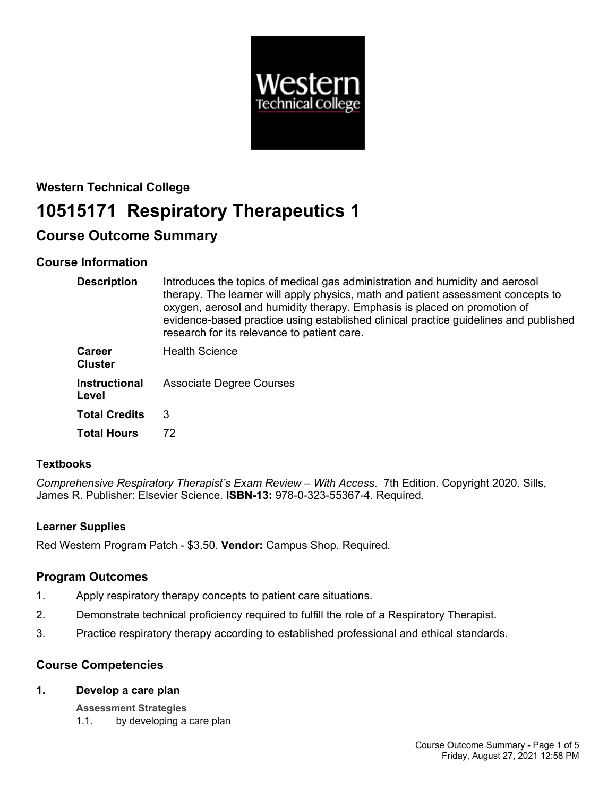

# **Western Technical College 10515171 Respiratory Therapeutics 1**

## **Course Outcome Summary**

## **Course Information**

| <b>Description</b>              | Introduces the topics of medical gas administration and humidity and aerosol<br>therapy. The learner will apply physics, math and patient assessment concepts to<br>oxygen, aerosol and humidity therapy. Emphasis is placed on promotion of<br>evidence-based practice using established clinical practice guidelines and published<br>research for its relevance to patient care. |
|---------------------------------|-------------------------------------------------------------------------------------------------------------------------------------------------------------------------------------------------------------------------------------------------------------------------------------------------------------------------------------------------------------------------------------|
| <b>Career</b><br><b>Cluster</b> | <b>Health Science</b>                                                                                                                                                                                                                                                                                                                                                               |
| <b>Instructional</b><br>Level   | <b>Associate Degree Courses</b>                                                                                                                                                                                                                                                                                                                                                     |
| <b>Total Credits</b>            | 3                                                                                                                                                                                                                                                                                                                                                                                   |
| <b>Total Hours</b>              | 72                                                                                                                                                                                                                                                                                                                                                                                  |

## **Textbooks**

*Comprehensive Respiratory Therapist's Exam Review – With Access*. 7th Edition. Copyright 2020. Sills, James R. Publisher: Elsevier Science. **ISBN-13:** 978-0-323-55367-4. Required.

## **Learner Supplies**

Red Western Program Patch - \$3.50. **Vendor:** Campus Shop. Required.

## **Program Outcomes**

- 1. Apply respiratory therapy concepts to patient care situations.
- 2. Demonstrate technical proficiency required to fulfill the role of a Respiratory Therapist.
- 3. Practice respiratory therapy according to established professional and ethical standards.

## **Course Competencies**

#### **1. Develop a care plan**

**Assessment Strategies**

1.1. by developing a care plan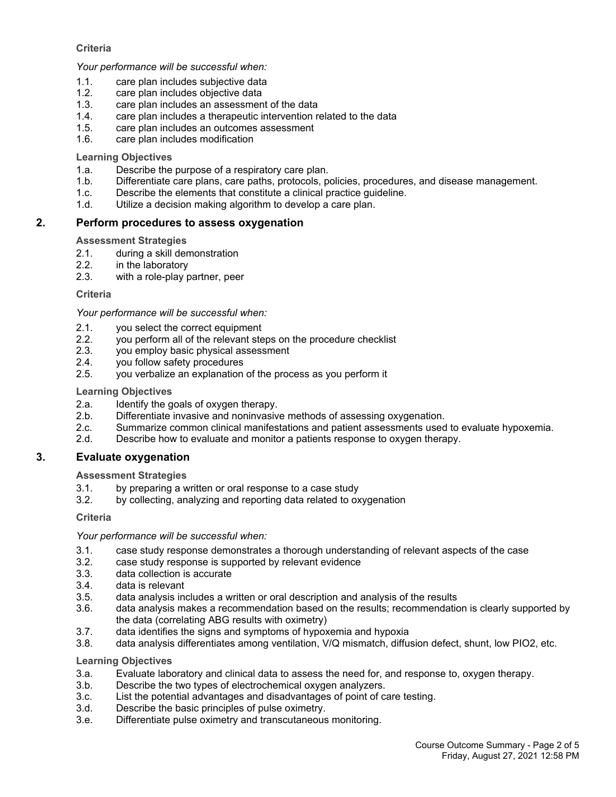#### **Criteria**

#### *Your performance will be successful when:*

- 1.1. care plan includes subjective data
- 1.2. care plan includes objective data
- 1.3. care plan includes an assessment of the data
- 1.4. care plan includes a therapeutic intervention related to the data
- 1.5. care plan includes an outcomes assessment
- 1.6. care plan includes modification

#### **Learning Objectives**

- 1.a. Describe the purpose of a respiratory care plan.
- 1.b. Differentiate care plans, care paths, protocols, policies, procedures, and disease management.
- 1.c. Describe the elements that constitute a clinical practice guideline.
- 1.d. Utilize a decision making algorithm to develop a care plan.

#### **2. Perform procedures to assess oxygenation**

#### **Assessment Strategies**

- 2.1. during a skill demonstration<br>2.2. in the laboratory
- in the laboratory
- 2.3. with a role-play partner, peer

#### **Criteria**

#### *Your performance will be successful when:*

- 2.1. you select the correct equipment<br>2.2. vou perform all of the relevant ste
- 2.2. you perform all of the relevant steps on the procedure checklist 2.3. vou employ basic physical assessment
- you employ basic physical assessment
- 2.4. you follow safety procedures
- 2.5. you verbalize an explanation of the process as you perform it

#### **Learning Objectives**

- 2.a. Identify the goals of oxygen therapy.
- 2.b. Differentiate invasive and noninvasive methods of assessing oxygenation.
- 2.c. Summarize common clinical manifestations and patient assessments used to evaluate hypoxemia.
- 2.d. Describe how to evaluate and monitor a patients response to oxygen therapy.

## **3. Evaluate oxygenation**

#### **Assessment Strategies**

- 3.1. by preparing a written or oral response to a case study
- 3.2. by collecting, analyzing and reporting data related to oxygenation

#### **Criteria**

#### *Your performance will be successful when:*

- 3.1. case study response demonstrates a thorough understanding of relevant aspects of the case
- 3.2. case study response is supported by relevant evidence
- 3.3. data collection is accurate
- 3.4. data is relevant
- 3.5. data analysis includes a written or oral description and analysis of the results
- 3.6. data analysis makes a recommendation based on the results; recommendation is clearly supported by the data (correlating ABG results with oximetry)
- 3.7. data identifies the signs and symptoms of hypoxemia and hypoxia
- 3.8. data analysis differentiates among ventilation, V/Q mismatch, diffusion defect, shunt, low PIO2, etc.

## **Learning Objectives**

- 3.a. Evaluate laboratory and clinical data to assess the need for, and response to, oxygen therapy.
- 3.b. Describe the two types of electrochemical oxygen analyzers.
- 3.c. List the potential advantages and disadvantages of point of care testing.
- 3.d. Describe the basic principles of pulse oximetry.
- 3.e. Differentiate pulse oximetry and transcutaneous monitoring.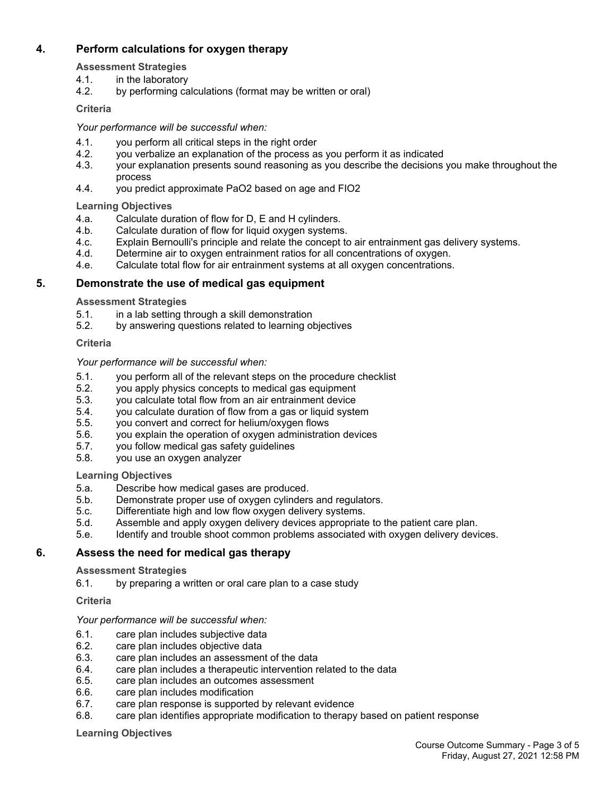## **4. Perform calculations for oxygen therapy**

- **Assessment Strategies**
- 4.1. in the laboratory
- 4.2. by performing calculations (format may be written or oral)

## **Criteria**

## *Your performance will be successful when:*

- 4.1. you perform all critical steps in the right order
- 4.2. you verbalize an explanation of the process as you perform it as indicated
- 4.3. your explanation presents sound reasoning as you describe the decisions you make throughout the process
- 4.4. you predict approximate PaO2 based on age and FIO2

#### **Learning Objectives**

- 4.a. Calculate duration of flow for D, E and H cylinders.
- 4.b. Calculate duration of flow for liquid oxygen systems.
- 4.c. Explain Bernoulli's principle and relate the concept to air entrainment gas delivery systems.
- 4.d. Determine air to oxygen entrainment ratios for all concentrations of oxygen.
- 4.e. Calculate total flow for air entrainment systems at all oxygen concentrations.

## **5. Demonstrate the use of medical gas equipment**

#### **Assessment Strategies**

- 5.1. in a lab setting through a skill demonstration
- 5.2. by answering questions related to learning objectives

#### **Criteria**

#### *Your performance will be successful when:*

- 5.1. you perform all of the relevant steps on the procedure checklist
- 5.2. you apply physics concepts to medical gas equipment
- 5.3. you calculate total flow from an air entrainment device
- 5.4. vou calculate duration of flow from a gas or liquid system
- 5.5. you convert and correct for helium/oxygen flows
- 5.6. you explain the operation of oxygen administration devices
- 5.7. you follow medical gas safety guidelines
- 5.8. you use an oxygen analyzer

## **Learning Objectives**

- 5.a. Describe how medical gases are produced.
- 5.b. Demonstrate proper use of oxygen cylinders and regulators.
- 5.c. Differentiate high and low flow oxygen delivery systems.
- 5.d. Assemble and apply oxygen delivery devices appropriate to the patient care plan.
- 5.e. Identify and trouble shoot common problems associated with oxygen delivery devices.

## **6. Assess the need for medical gas therapy**

#### **Assessment Strategies**

6.1. by preparing a written or oral care plan to a case study

## **Criteria**

## *Your performance will be successful when:*

- 6.1. care plan includes subjective data
- 6.2. care plan includes objective data
- 6.3. care plan includes an assessment of the data
- 6.4. care plan includes a therapeutic intervention related to the data
- 6.5. care plan includes an outcomes assessment
- 6.6. care plan includes modification
- 6.7. care plan response is supported by relevant evidence
- 6.8. care plan identifies appropriate modification to therapy based on patient response

#### **Learning Objectives**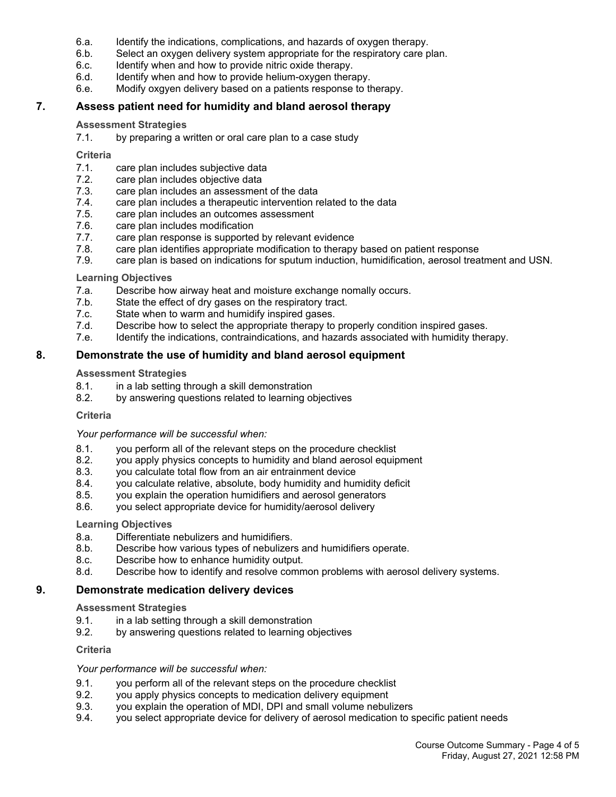- 6.a. Identify the indications, complications, and hazards of oxygen therapy.
- 6.b. Select an oxygen delivery system appropriate for the respiratory care plan.
- 6.c. Identify when and how to provide nitric oxide therapy.
- 6.d. Identify when and how to provide helium-oxygen therapy.
- 6.e. Modify oxgyen delivery based on a patients response to therapy.

#### **7. Assess patient need for humidity and bland aerosol therapy**

#### **Assessment Strategies**

7.1. by preparing a written or oral care plan to a case study

#### **Criteria**

- 7.1. care plan includes subjective data
- 7.2. care plan includes objective data
- 7.3. care plan includes an assessment of the data
- 7.4. care plan includes a therapeutic intervention related to the data
- 7.5. care plan includes an outcomes assessment
- 7.6. care plan includes modification
- 7.7. care plan response is supported by relevant evidence<br>7.8. care plan identifies appropriate modification to therapy
- care plan identifies appropriate modification to therapy based on patient response
- 7.9. care plan is based on indications for sputum induction, humidification, aerosol treatment and USN.

#### **Learning Objectives**

- 7.a. Describe how airway heat and moisture exchange nomally occurs.
- 7.b. State the effect of dry gases on the respiratory tract.
- 7.c. State when to warm and humidify inspired gases.
- 7.d. Describe how to select the appropriate therapy to properly condition inspired gases.
- 7.e. Identify the indications, contraindications, and hazards associated with humidity therapy.

#### **8. Demonstrate the use of humidity and bland aerosol equipment**

#### **Assessment Strategies**

- 8.1. in a lab setting through a skill demonstration
- 8.2. by answering questions related to learning objectives

#### **Criteria**

#### *Your performance will be successful when:*

- 8.1. you perform all of the relevant steps on the procedure checklist
- 8.2. you apply physics concepts to humidity and bland aerosol equipment 8.3. vou calculate total flow from an air entrainment device
- you calculate total flow from an air entrainment device
- 8.4. you calculate relative, absolute, body humidity and humidity deficit
- 8.5. you explain the operation humidifiers and aerosol generators
- 8.6. you select appropriate device for humidity/aerosol delivery

#### **Learning Objectives**

- 8.a. Differentiate nebulizers and humidifiers.
- 8.b. Describe how various types of nebulizers and humidifiers operate.
- 8.c. Describe how to enhance humidity output.
- 8.d. Describe how to identify and resolve common problems with aerosol delivery systems.

#### **9. Demonstrate medication delivery devices**

#### **Assessment Strategies**

- 9.1. in a lab setting through a skill demonstration
- 9.2. by answering questions related to learning objectives

#### **Criteria**

#### *Your performance will be successful when:*

- 9.1. you perform all of the relevant steps on the procedure checklist
- 9.2. you apply physics concepts to medication delivery equipment
- 9.3. you explain the operation of MDI, DPI and small volume nebulizers
- 9.4. you select appropriate device for delivery of aerosol medication to specific patient needs